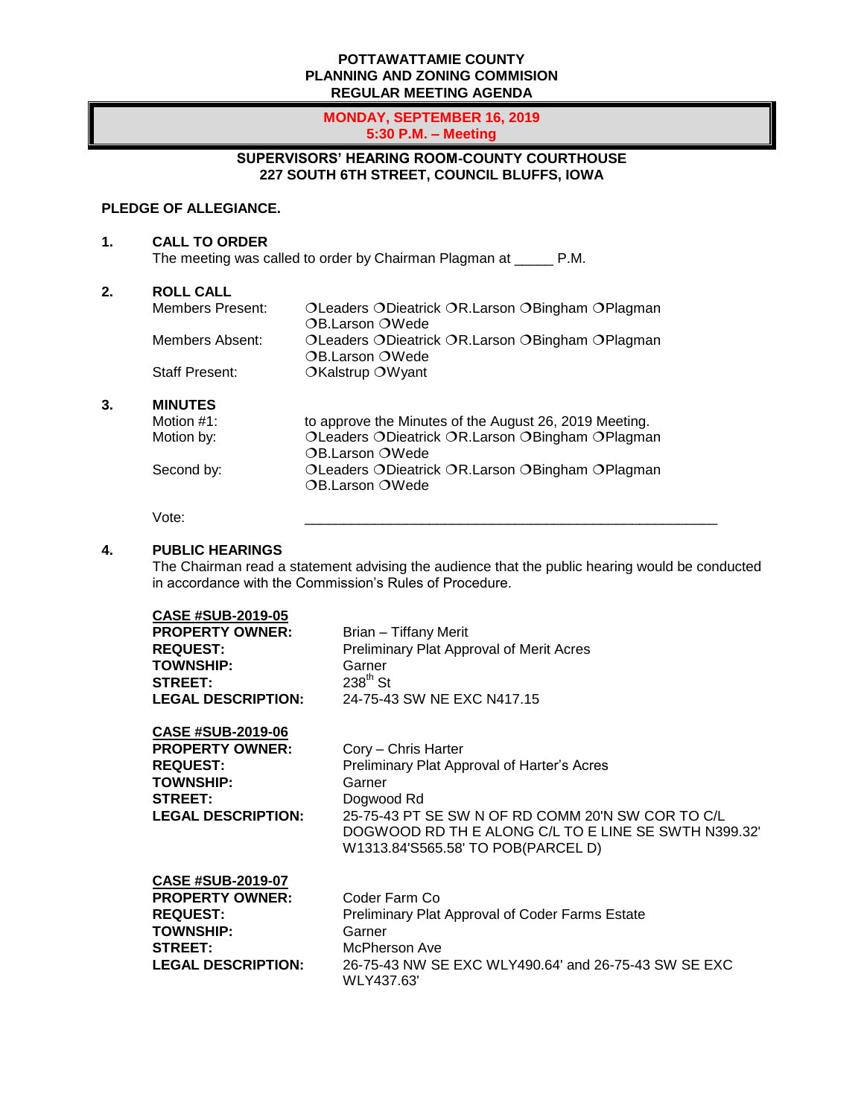#### **POTTAWATTAMIE COUNTY PLANNING AND ZONING COMMISION REGULAR MEETING AGENDA**

#### **MONDAY, SEPTEMBER 16, 2019 5:30 P.M. – Meeting**

# **SUPERVISORS' HEARING ROOM-COUNTY COURTHOUSE 227 SOUTH 6TH STREET, COUNCIL BLUFFS, IOWA**

## **PLEDGE OF ALLEGIANCE.**

**1. CALL TO ORDER**

The meeting was called to order by Chairman Plagman at \_\_\_\_\_ P.M.

#### **2. ROLL CALL**

| Members Present: | OLeaders ODieatrick OR.Larson OBingham OPlagman |
|------------------|-------------------------------------------------|
|                  | OB.Larson OWede                                 |
| Members Absent:  | OLeaders ODieatrick OR.Larson OBingham OPlagman |
|                  | OB.Larson OWede                                 |
| Staff Present:   | OKalstrup OWyant                                |

### **3. MINUTES**

| Motion #1: | to approve the Minutes of the August 26, 2019 Meeting. |
|------------|--------------------------------------------------------|
| Motion by: | OLeaders ODieatrick OR.Larson OBingham OPlagman        |
|            | OB.Larson OWede                                        |
| Second by: | OLeaders ODieatrick OR.Larson OBingham OPlagman        |
|            | OB.Larson OWede                                        |

Vote: \_\_\_\_\_\_\_\_\_\_\_\_\_\_\_\_\_\_\_\_\_\_\_\_\_\_\_\_\_\_\_\_\_\_\_\_\_\_\_\_\_\_\_\_\_\_\_\_\_\_\_\_\_

## **4. PUBLIC HEARINGS**

The Chairman read a statement advising the audience that the public hearing would be conducted in accordance with the Commission's Rules of Procedure.

| <b>CASE #SUB-2019-05</b><br><b>PROPERTY OWNER:</b><br><b>REQUEST:</b><br><b>TOWNSHIP:</b><br><b>STREET:</b><br><b>LEGAL DESCRIPTION:</b> | Brian - Tiffany Merit<br>Preliminary Plat Approval of Merit Acres<br>Garner<br>$238^{\text{th}}$ St<br>24-75-43 SW NE EXC N417.15                                                                                                             |
|------------------------------------------------------------------------------------------------------------------------------------------|-----------------------------------------------------------------------------------------------------------------------------------------------------------------------------------------------------------------------------------------------|
| <b>CASE #SUB-2019-06</b><br><b>PROPERTY OWNER:</b><br><b>REQUEST:</b><br><b>TOWNSHIP:</b><br><b>STREET:</b><br><b>LEGAL DESCRIPTION:</b> | Cory – Chris Harter<br>Preliminary Plat Approval of Harter's Acres<br>Garner<br>Dogwood Rd<br>25-75-43 PT SE SW N OF RD COMM 20'N SW COR TO C/L<br>DOGWOOD RD TH E ALONG C/L TO E LINE SE SWTH N399.32'<br>W1313.84'S565.58' TO POB(PARCEL D) |
| <b>CASE #SUB-2019-07</b><br><b>PROPERTY OWNER:</b><br><b>REQUEST:</b><br><b>TOWNSHIP:</b><br><b>STREET:</b><br><b>LEGAL DESCRIPTION:</b> | Coder Farm Co<br>Preliminary Plat Approval of Coder Farms Estate<br>Garner<br>McPherson Ave<br>26-75-43 NW SE EXC WLY490.64' and 26-75-43 SW SE EXC<br>WLY437.63'                                                                             |